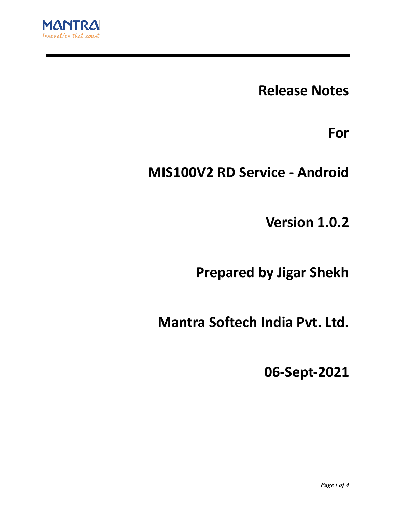

**Release Notes**

**For**

**MIS100V2 RD Service - Android**

**Version 1.0.2**

**Prepared by Jigar Shekh**

**Mantra Softech India Pvt. Ltd.**

**06-Sept-2021**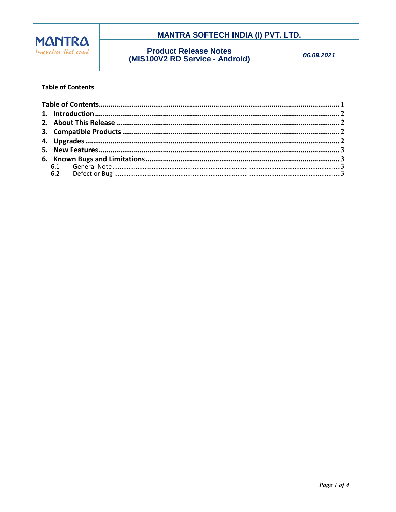

### **MANTRA SOFTECH INDIA (I) PVT. LTD.**

# **Product Release Notes**<br>(MIS100V2 RD Service - Android)

06.09.2021

#### **Table of Contents**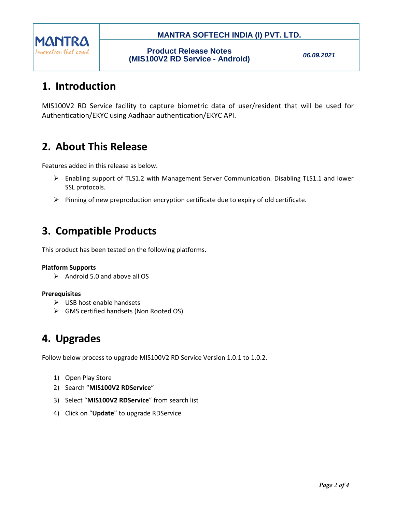

### **MANTRA SOFTECH INDIA (I) PVT. LTD.**

*06.09.2021*

# **1. Introduction**

MIS100V2 RD Service facility to capture biometric data of user/resident that will be used for Authentication/EKYC using Aadhaar authentication/EKYC API.

# **2. About This Release**

Features added in this release as below.

- $\triangleright$  Enabling support of TLS1.2 with Management Server Communication. Disabling TLS1.1 and lower SSL protocols.
- $\triangleright$  Pinning of new preproduction encryption certificate due to expiry of old certificate.

# **3. Compatible Products**

This product has been tested on the following platforms.

#### **Platform Supports**

 $\triangleright$  Android 5.0 and above all OS

#### **Prerequisites**

- $\triangleright$  USB host enable handsets
- GMS certified handsets (Non Rooted OS)

### **4. Upgrades**

Follow below process to upgrade MIS100V2 RD Service Version 1.0.1 to 1.0.2.

- 1) Open Play Store
- 2) Search "**MIS100V2 RDService**"
- 3) Select "**MIS100V2 RDService**" from search list
- 4) Click on "**Update**" to upgrade RDService